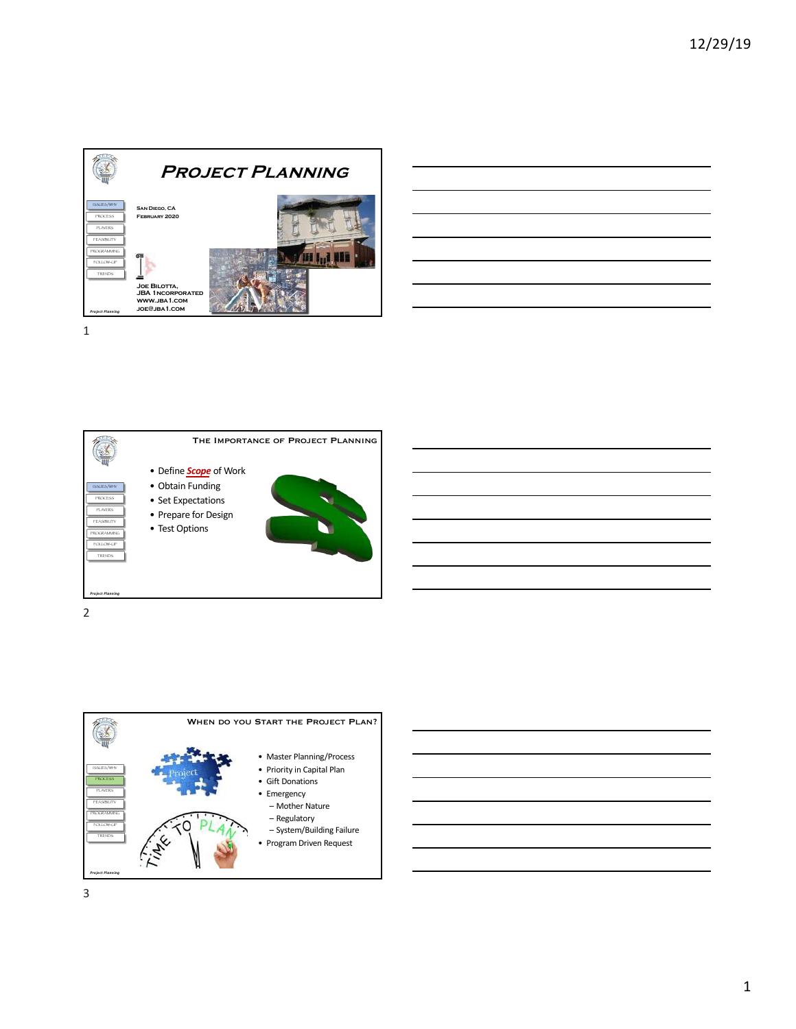

|                                                                                                                  |  | $\sim$ |
|------------------------------------------------------------------------------------------------------------------|--|--------|
| <u> 1989 - Johann Stoff, amerikansk politiker (* 1908)</u>                                                       |  |        |
| <u> 1989 - Johann Stoff, amerikansk politiker (* 1908)</u>                                                       |  |        |
|                                                                                                                  |  |        |
| and the control of the control of the control of the control of the control of the control of the control of the |  |        |



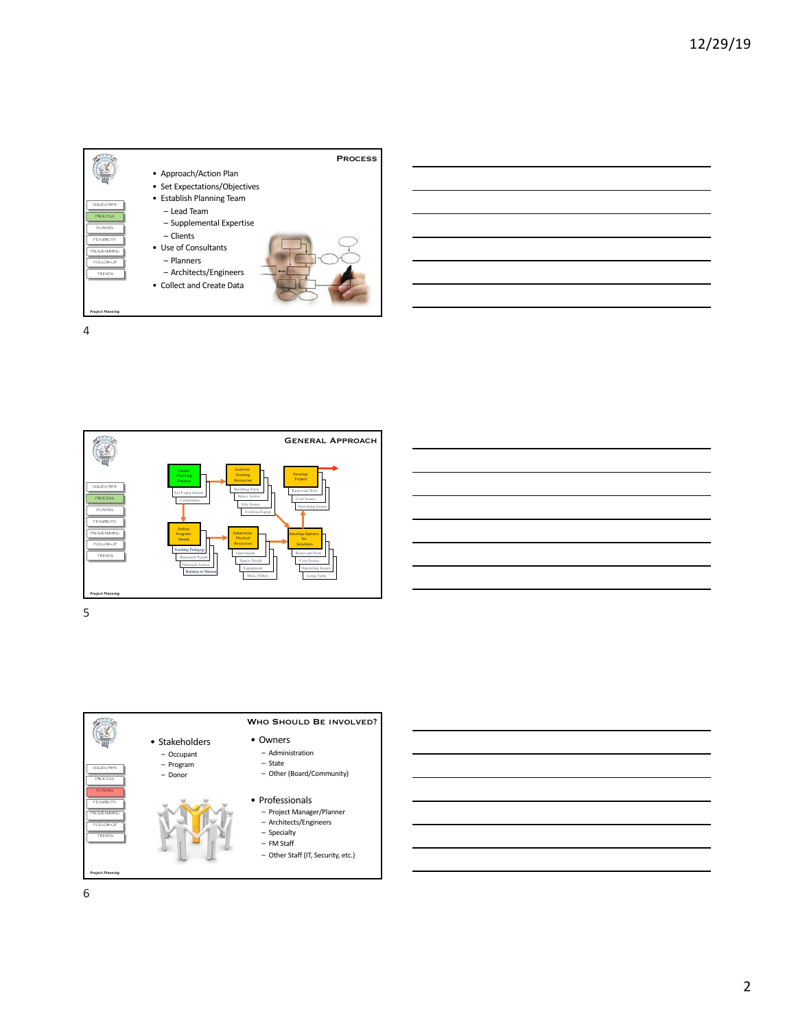





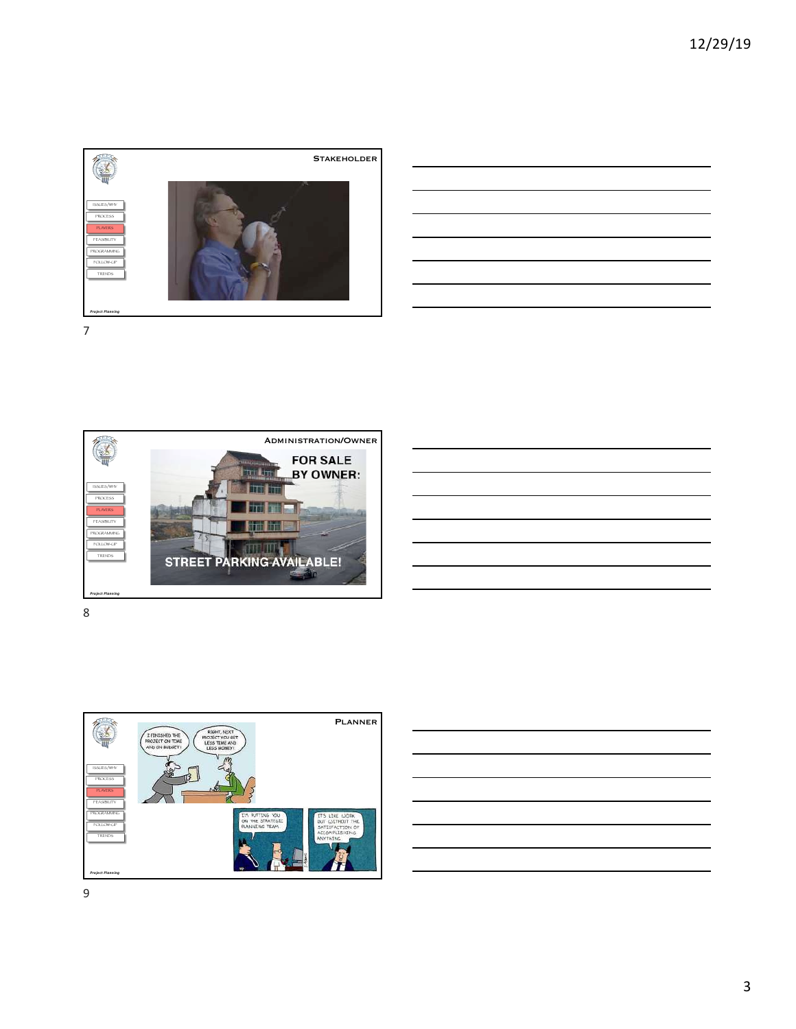











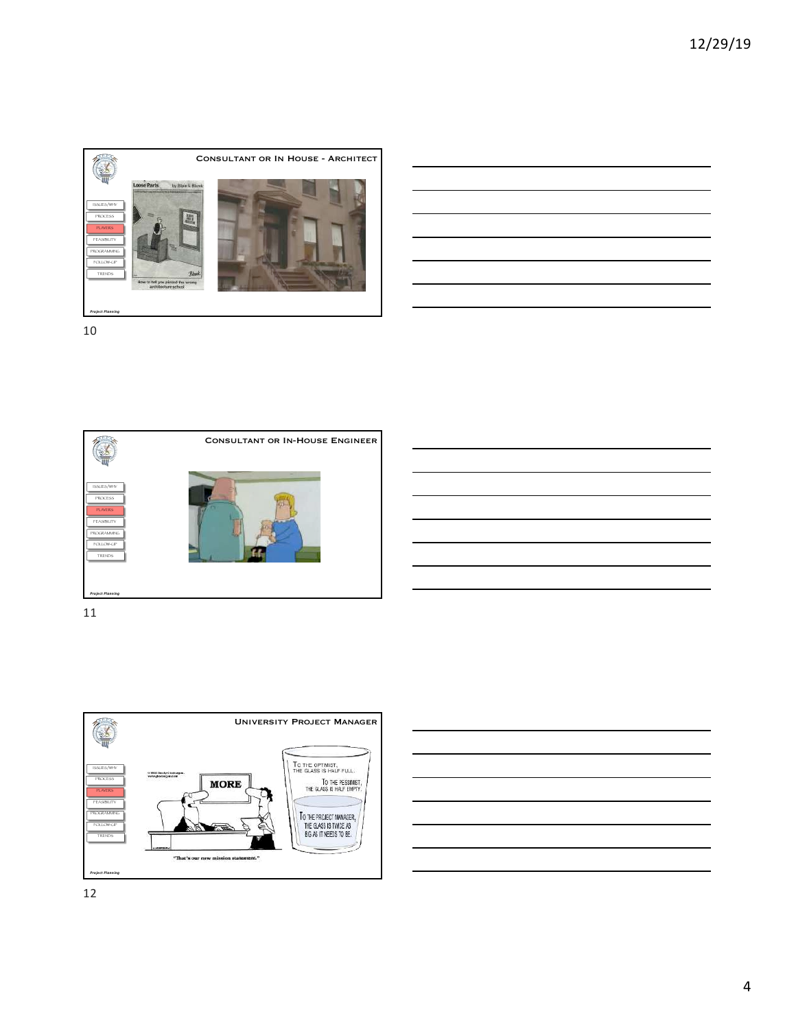









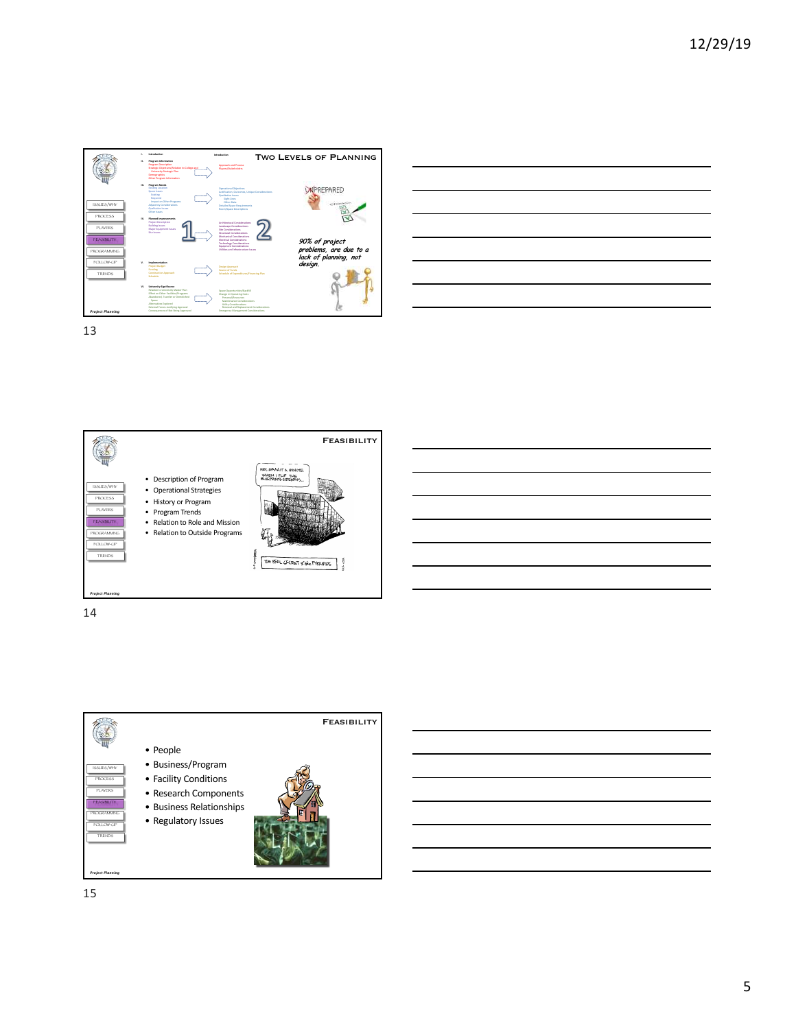





14

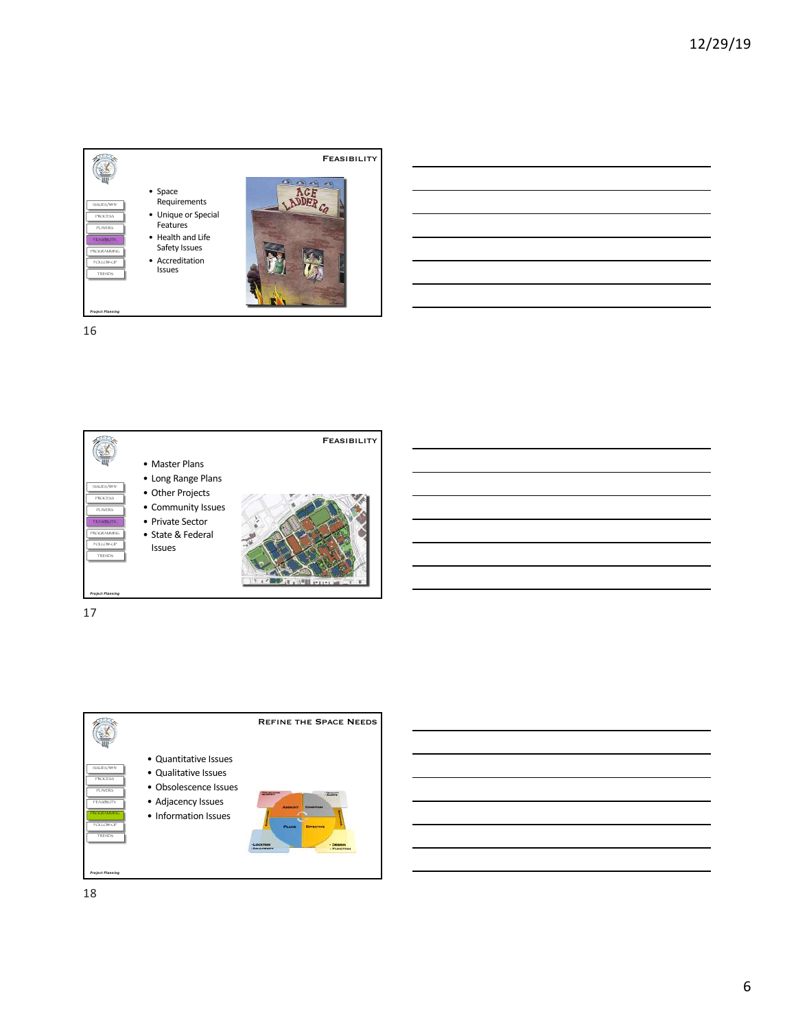





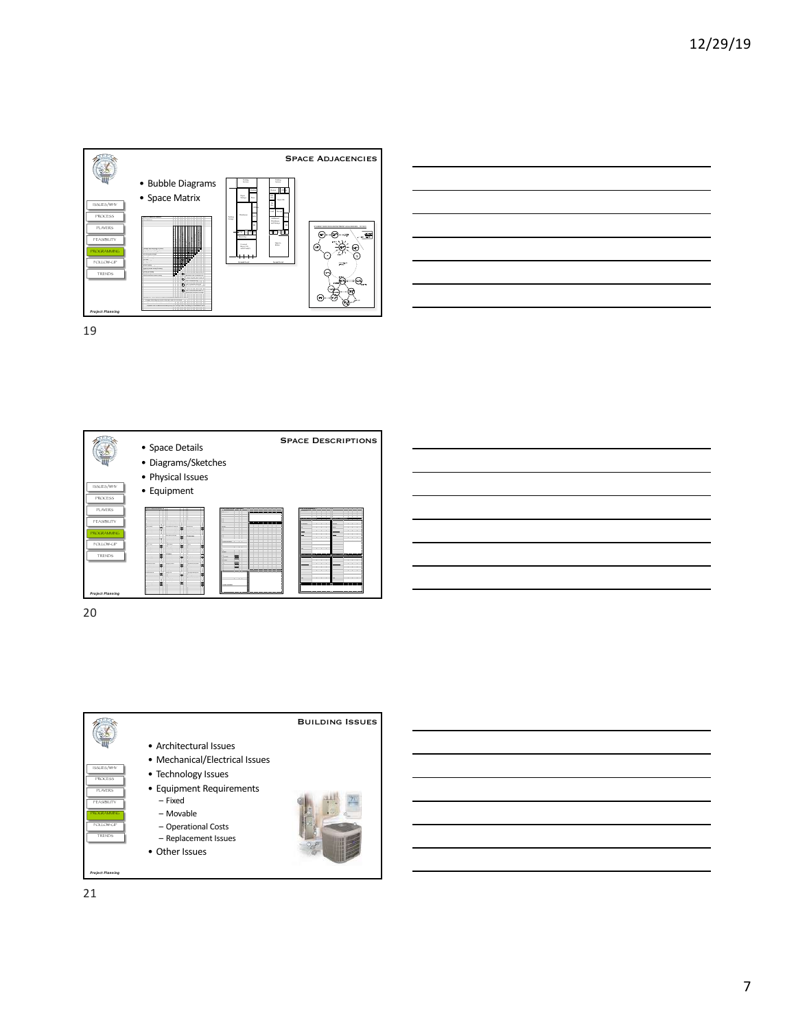





| <u> 1989 - Andrea Stadt Britain, amerikansk politik (* 1989)</u>                                                      |  |  |
|-----------------------------------------------------------------------------------------------------------------------|--|--|
| <u> La Carlo Carlo Carlo Carlo Carlo Carlo Carlo Carlo Carlo Carlo Carlo Carlo Carlo Carlo Carlo Carlo Carlo Car</u>  |  |  |
| <u> 1989 - Johann Stoff, deutscher Stoff, der Stoff, der Stoff, der Stoff, der Stoff, der Stoff, der Stoff, der S</u> |  |  |
|                                                                                                                       |  |  |
| <u> 1989 - Andrea Andrew Maria (h. 1989).</u><br>Demografia                                                           |  |  |
| <u> La Carlo Carlo Carlo Carlo Carlo Carlo Carlo Carlo Carlo Carlo Carlo Carlo Carlo Carlo Carlo Carlo Carlo Car</u>  |  |  |
| <u> 1989 - Andrea Santa Andrea Andrea Andrea Andrea Andrea Andrea Andrea Andrea Andrea Andrea Andrea Andrea Andr</u>  |  |  |
|                                                                                                                       |  |  |

20

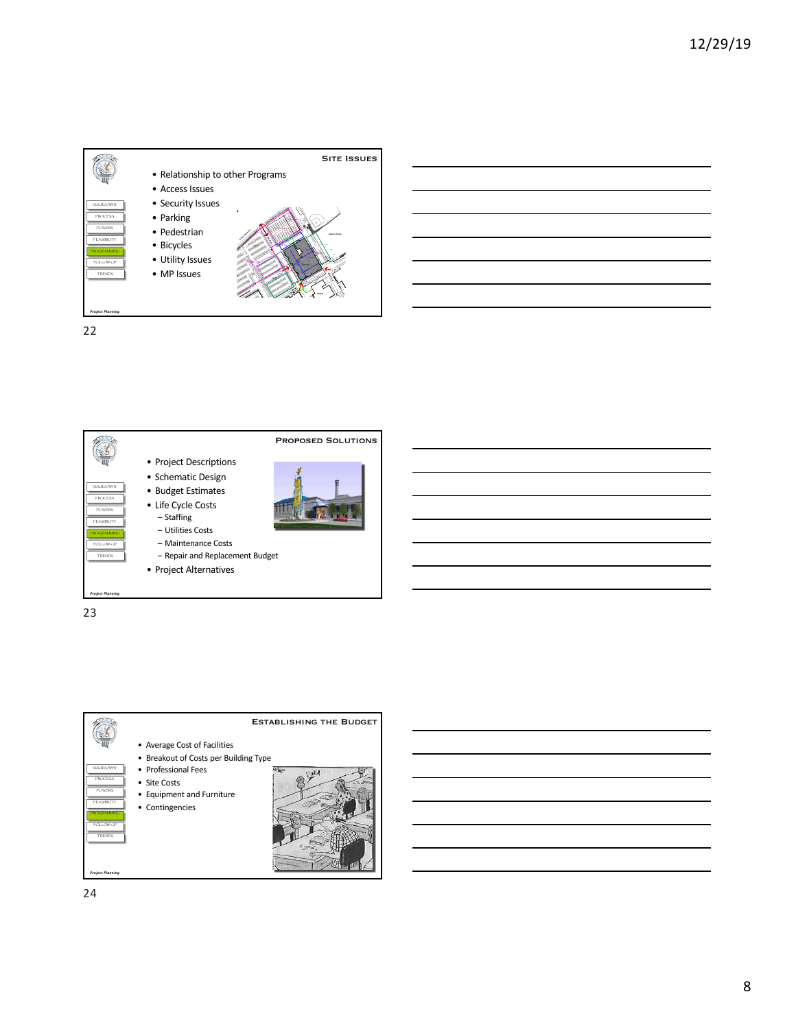



23

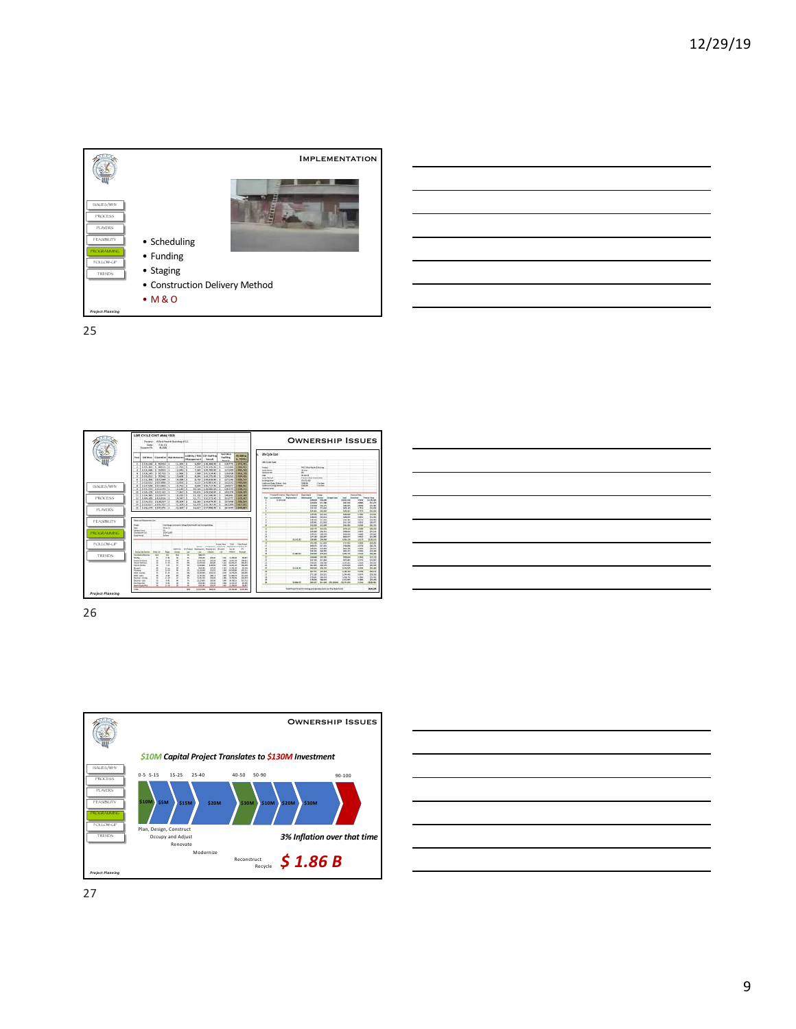





26

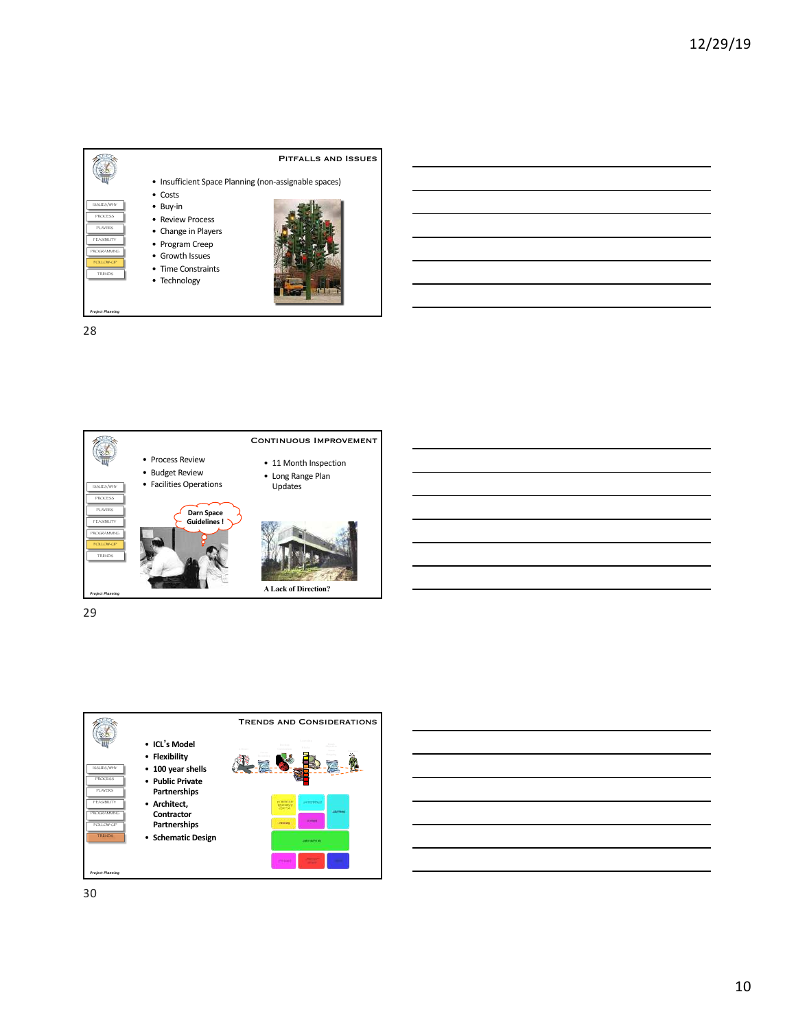





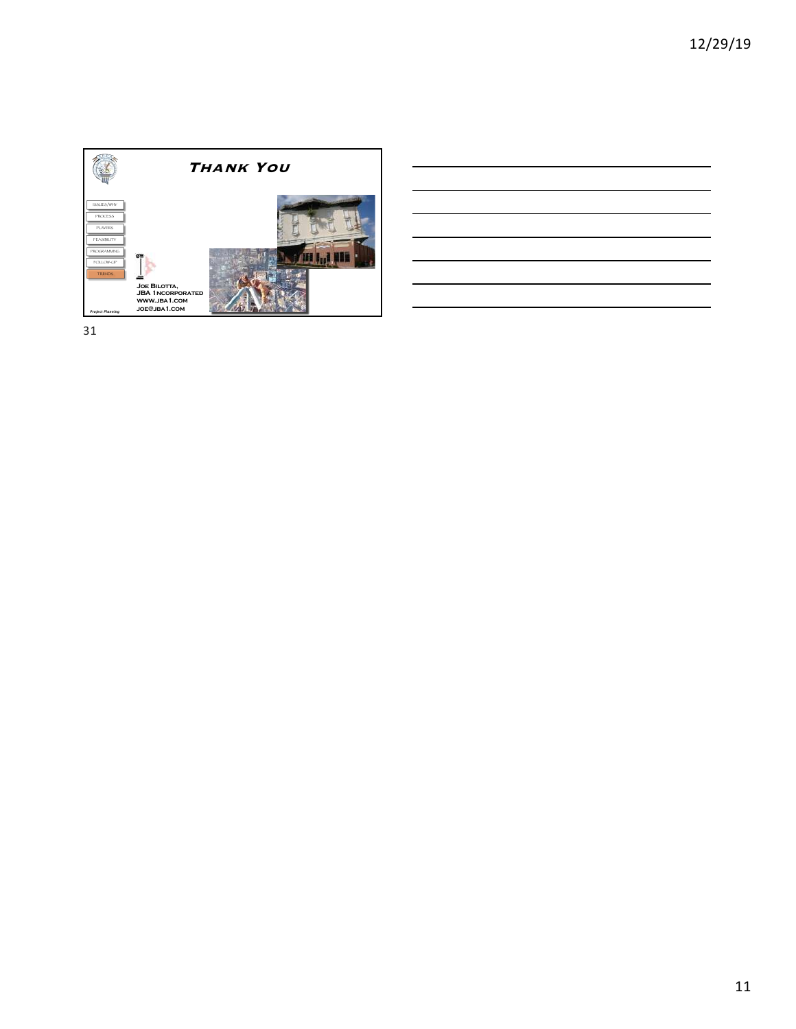

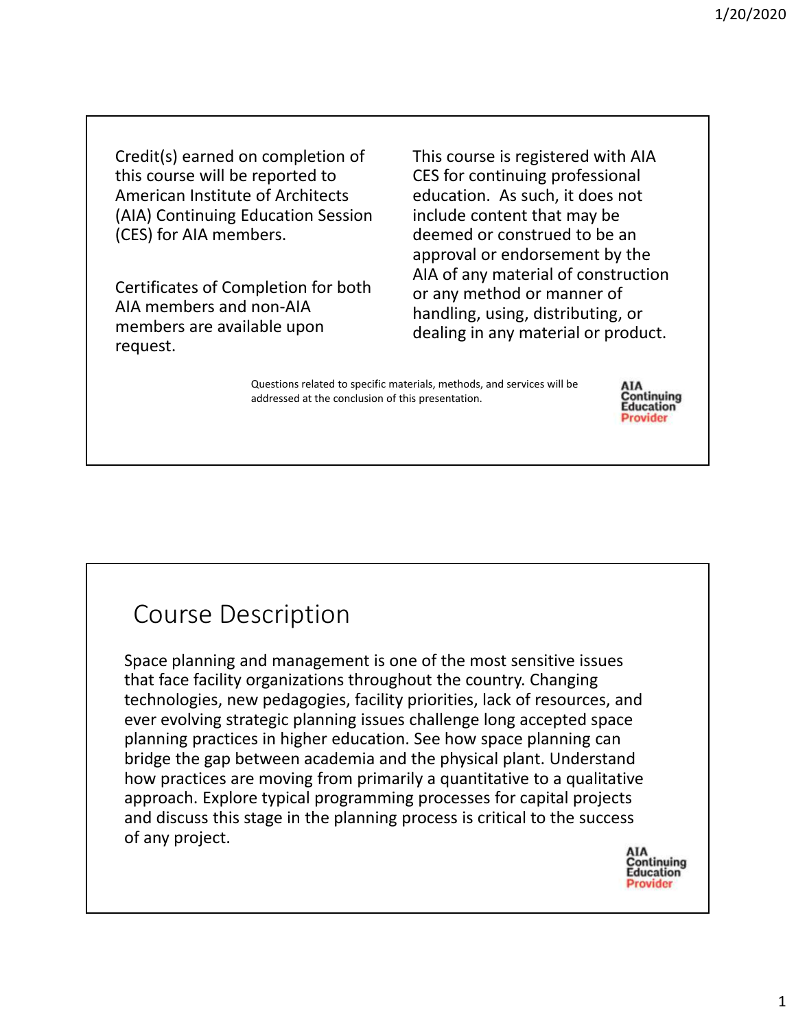Credit(s) earned on completion of this course will be reported to American Institute of Architects (AIA) Continuing Education Session (CES) for AIA members.

Certificates of Completion for both AIA members and non‐AIA members are available upon request.

This course is registered with AIA CES for continuing professional education. As such, it does not include content that may be deemed or construed to be an approval or endorsement by the AIA of any material of construction or any method or manner of handling, using, distributing, or dealing in any material or product.

Questions related to specific materials, methods, and services will be addressed at the conclusion of this presentation.



## Course Description

Space planning and management is one of the most sensitive issues that face facility organizations throughout the country. Changing technologies, new pedagogies, facility priorities, lack of resources, and ever evolving strategic planning issues challenge long accepted space planning practices in higher education. See how space planning can bridge the gap between academia and the physical plant. Understand how practices are moving from primarily a quantitative to a qualitative approach. Explore typical programming processes for capital projects and discuss this stage in the planning process is critical to the success of any project.

Continuing **Education Provider**